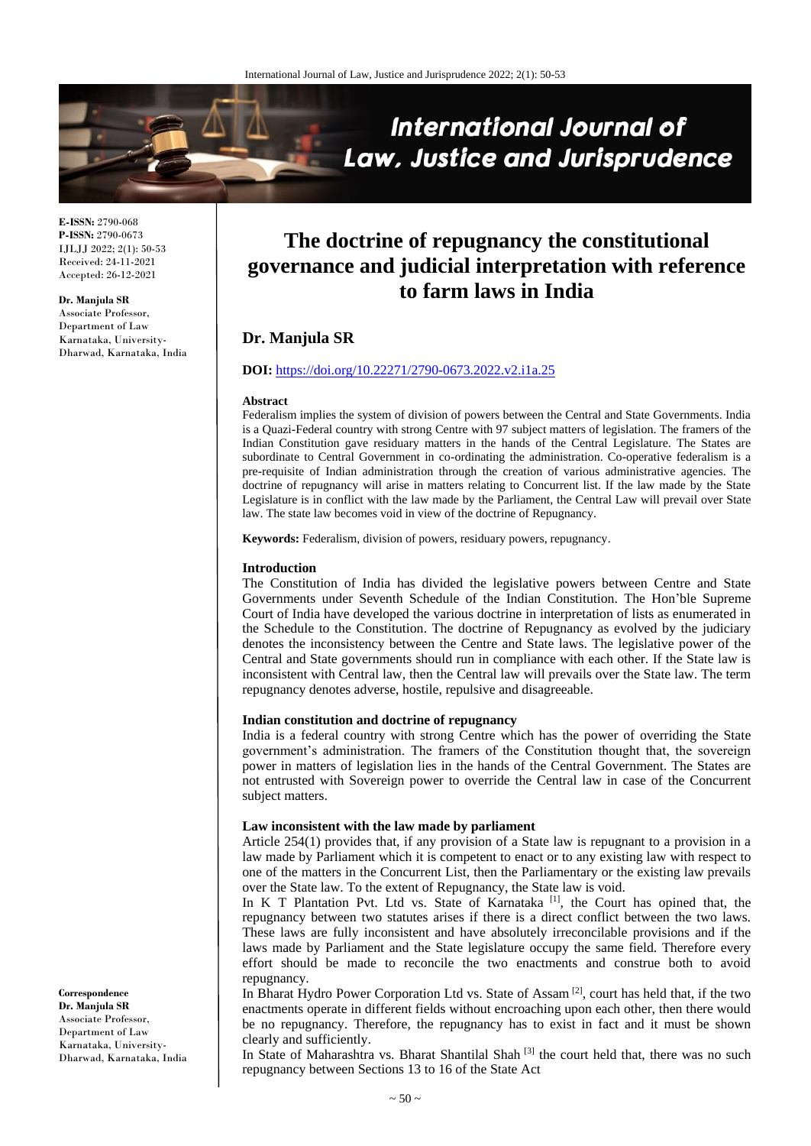

**E-ISSN:** 2790-068 **P-ISSN:** 2790-0673 IJLJJ 2022; 2(1): 50-53 Received: 24-11-2021 Accepted: 26-12-2021

**Dr. Manjula SR** Associate Professor, Department of Law Karnataka, University-Dharwad, Karnataka, India

# **The doctrine of repugnancy the constitutional governance and judicial interpretation with reference to farm laws in India**

# **Dr. Manjula SR**

# **DOI:** <https://doi.org/10.22271/2790-0673.2022.v2.i1a.25>

#### **Abstract**

Federalism implies the system of division of powers between the Central and State Governments. India is a Quazi-Federal country with strong Centre with 97 subject matters of legislation. The framers of the Indian Constitution gave residuary matters in the hands of the Central Legislature. The States are subordinate to Central Government in co-ordinating the administration. Co-operative federalism is a pre-requisite of Indian administration through the creation of various administrative agencies. The doctrine of repugnancy will arise in matters relating to Concurrent list. If the law made by the State Legislature is in conflict with the law made by the Parliament, the Central Law will prevail over State law. The state law becomes void in view of the doctrine of Repugnancy.

**Keywords:** Federalism, division of powers, residuary powers, repugnancy.

#### **Introduction**

The Constitution of India has divided the legislative powers between Centre and State Governments under Seventh Schedule of the Indian Constitution. The Hon'ble Supreme Court of India have developed the various doctrine in interpretation of lists as enumerated in the Schedule to the Constitution. The doctrine of Repugnancy as evolved by the judiciary denotes the inconsistency between the Centre and State laws. The legislative power of the Central and State governments should run in compliance with each other. If the State law is inconsistent with Central law, then the Central law will prevails over the State law. The term repugnancy denotes adverse, hostile, repulsive and disagreeable.

#### **Indian constitution and doctrine of repugnancy**

India is a federal country with strong Centre which has the power of overriding the State government's administration. The framers of the Constitution thought that, the sovereign power in matters of legislation lies in the hands of the Central Government. The States are not entrusted with Sovereign power to override the Central law in case of the Concurrent subject matters.

#### **Law inconsistent with the law made by parliament**

Article 254(1) provides that, if any provision of a State law is repugnant to a provision in a law made by Parliament which it is competent to enact or to any existing law with respect to one of the matters in the Concurrent List, then the Parliamentary or the existing law prevails over the State law. To the extent of Repugnancy, the State law is void.

In K T Plantation Pvt. Ltd vs. State of Karnataka<sup>[1]</sup>, the Court has opined that, the repugnancy between two statutes arises if there is a direct conflict between the two laws. These laws are fully inconsistent and have absolutely irreconcilable provisions and if the laws made by Parliament and the State legislature occupy the same field. Therefore every effort should be made to reconcile the two enactments and construe both to avoid repugnancy.

In Bharat Hydro Power Corporation Ltd vs. State of Assam<sup>[2]</sup>, court has held that, if the two enactments operate in different fields without encroaching upon each other, then there would be no repugnancy. Therefore, the repugnancy has to exist in fact and it must be shown clearly and sufficiently.

In State of Maharashtra vs. Bharat Shantilal Shah<sup>[3]</sup> the court held that, there was no such repugnancy between Sections 13 to 16 of the State Act

**Correspondence Dr. Manjula SR** Associate Professor, Department of Law Karnataka, University-Dharwad, Karnataka, India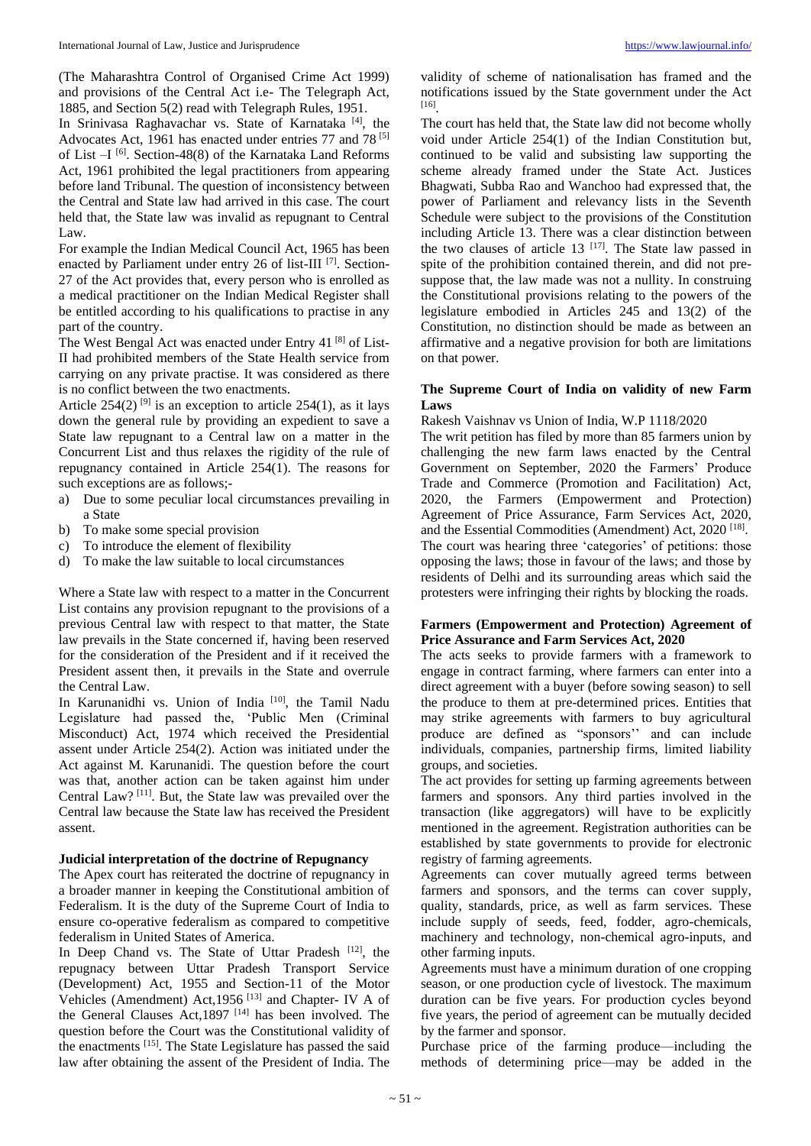(The Maharashtra Control of Organised Crime Act 1999) and provisions of the Central Act i.e- The Telegraph Act, 1885, and Section 5(2) read with Telegraph Rules, 1951.

In Srinivasa Raghavachar vs. State of Karnataka [4], the Advocates Act, 1961 has enacted under entries 77 and 78 [5] of List -I<sup>[6]</sup>. Section-48(8) of the Karnataka Land Reforms Act, 1961 prohibited the legal practitioners from appearing before land Tribunal. The question of inconsistency between the Central and State law had arrived in this case. The court held that, the State law was invalid as repugnant to Central Law.

For example the Indian Medical Council Act, 1965 has been enacted by Parliament under entry 26 of list-III<sup>[7]</sup>. Section-27 of the Act provides that, every person who is enrolled as a medical practitioner on the Indian Medical Register shall be entitled according to his qualifications to practise in any part of the country.

The West Bengal Act was enacted under Entry 41<sup>[8]</sup> of List-II had prohibited members of the State Health service from carrying on any private practise. It was considered as there is no conflict between the two enactments.

Article  $254(2)$  <sup>[9]</sup> is an exception to article  $254(1)$ , as it lays down the general rule by providing an expedient to save a State law repugnant to a Central law on a matter in the Concurrent List and thus relaxes the rigidity of the rule of repugnancy contained in Article 254(1). The reasons for such exceptions are as follows;-

- a) Due to some peculiar local circumstances prevailing in a State
- b) To make some special provision
- c) To introduce the element of flexibility
- d) To make the law suitable to local circumstances

Where a State law with respect to a matter in the Concurrent List contains any provision repugnant to the provisions of a previous Central law with respect to that matter, the State law prevails in the State concerned if, having been reserved for the consideration of the President and if it received the President assent then, it prevails in the State and overrule the Central Law.

In Karunanidhi vs. Union of India<sup>[10]</sup>, the Tamil Nadu Legislature had passed the, 'Public Men (Criminal Misconduct) Act, 1974 which received the Presidential assent under Article 254(2). Action was initiated under the Act against M. Karunanidi. The question before the court was that, another action can be taken against him under Central Law? [11] . But, the State law was prevailed over the Central law because the State law has received the President assent.

#### **Judicial interpretation of the doctrine of Repugnancy**

The Apex court has reiterated the doctrine of repugnancy in a broader manner in keeping the Constitutional ambition of Federalism. It is the duty of the Supreme Court of India to ensure co-operative federalism as compared to competitive federalism in United States of America.

In Deep Chand vs. The State of Uttar Pradesh [12], the repugnacy between Uttar Pradesh Transport Service (Development) Act, 1955 and Section-11 of the Motor Vehicles (Amendment) Act, 1956<sup>[13]</sup> and Chapter- IV A of the General Clauses Act, 1897<sup>[14]</sup> has been involved. The question before the Court was the Constitutional validity of the enactments [15]. The State Legislature has passed the said law after obtaining the assent of the President of India. The

validity of scheme of nationalisation has framed and the notifications issued by the State government under the Act [16] .

The court has held that, the State law did not become wholly void under Article 254(1) of the Indian Constitution but, continued to be valid and subsisting law supporting the scheme already framed under the State Act. Justices Bhagwati, Subba Rao and Wanchoo had expressed that, the power of Parliament and relevancy lists in the Seventh Schedule were subject to the provisions of the Constitution including Article 13. There was a clear distinction between the two clauses of article  $13$  <sup>[17]</sup>. The State law passed in spite of the prohibition contained therein, and did not presuppose that, the law made was not a nullity. In construing the Constitutional provisions relating to the powers of the legislature embodied in Articles 245 and 13(2) of the Constitution, no distinction should be made as between an affirmative and a negative provision for both are limitations on that power.

#### **The Supreme Court of India on validity of new Farm Laws**

Rakesh Vaishnav vs Union of India, W.P 1118/2020

The writ petition has filed by more than 85 farmers union by challenging the new farm laws enacted by the Central Government on September, 2020 the Farmers' Produce Trade and Commerce (Promotion and Facilitation) Act, 2020, the Farmers (Empowerment and Protection) Agreement of Price Assurance, Farm Services Act, 2020, and the Essential Commodities (Amendment) Act, 2020<sup>[18]</sup>. The court was hearing three 'categories' of petitions: those opposing the laws; those in favour of the laws; and those by residents of Delhi and its surrounding areas which said the protesters were infringing their rights by blocking the roads.

#### **Farmers (Empowerment and Protection) Agreement of Price Assurance and Farm Services Act, 2020**

The acts seeks to provide farmers with a framework to engage in contract farming, where farmers can enter into a direct agreement with a buyer (before sowing season) to sell the produce to them at pre-determined prices. Entities that may strike agreements with farmers to buy agricultural produce are defined as "sponsors'' and can include individuals, companies, partnership firms, limited liability groups, and societies.

The act provides for setting up farming agreements between farmers and sponsors. Any third parties involved in the transaction (like aggregators) will have to be explicitly mentioned in the agreement. Registration authorities can be established by state governments to provide for electronic registry of farming agreements.

Agreements can cover mutually agreed terms between farmers and sponsors, and the terms can cover supply, quality, standards, price, as well as farm services. These include supply of seeds, feed, fodder, agro-chemicals, machinery and technology, non-chemical agro-inputs, and other farming inputs.

Agreements must have a minimum duration of one cropping season, or one production cycle of livestock. The maximum duration can be five years. For production cycles beyond five years, the period of agreement can be mutually decided by the farmer and sponsor.

Purchase price of the farming produce—including the methods of determining price—may be added in the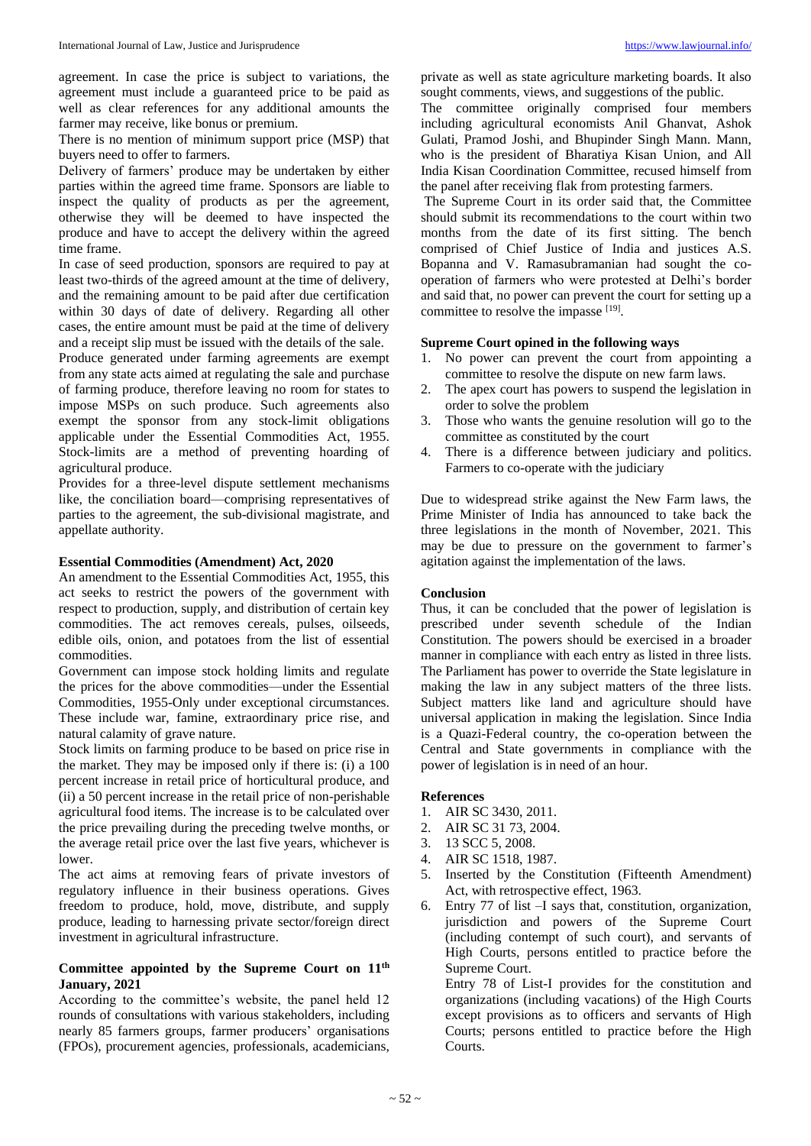agreement. In case the price is subject to variations, the agreement must include a guaranteed price to be paid as well as clear references for any additional amounts the farmer may receive, like bonus or premium.

There is no mention of minimum support price (MSP) that buyers need to offer to farmers.

Delivery of farmers' produce may be undertaken by either parties within the agreed time frame. Sponsors are liable to inspect the quality of products as per the agreement, otherwise they will be deemed to have inspected the produce and have to accept the delivery within the agreed time frame.

In case of seed production, sponsors are required to pay at least two-thirds of the agreed amount at the time of delivery, and the remaining amount to be paid after due certification within 30 days of date of delivery. Regarding all other cases, the entire amount must be paid at the time of delivery and a receipt slip must be issued with the details of the sale. Produce generated under farming agreements are exempt from any state acts aimed at regulating the sale and purchase of farming produce, therefore leaving no room for states to

impose MSPs on such produce. Such agreements also exempt the sponsor from any stock-limit obligations applicable under the Essential Commodities Act, 1955. Stock-limits are a method of preventing hoarding of agricultural produce.

Provides for a three-level dispute settlement mechanisms like, the conciliation board—comprising representatives of parties to the agreement, the sub-divisional magistrate, and appellate authority.

## **Essential Commodities (Amendment) Act, 2020**

An amendment to the Essential Commodities Act, 1955, this act seeks to restrict the powers of the government with respect to production, supply, and distribution of certain key commodities. The act removes cereals, pulses, oilseeds, edible oils, onion, and potatoes from the list of essential commodities.

Government can impose stock holding limits and regulate the prices for the above commodities—under the Essential Commodities, 1955-Only under exceptional circumstances. These include war, famine, extraordinary price rise, and natural calamity of grave nature.

Stock limits on farming produce to be based on price rise in the market. They may be imposed only if there is: (i) a 100 percent increase in retail price of horticultural produce, and (ii) a 50 percent increase in the retail price of non-perishable agricultural food items. The increase is to be calculated over the price prevailing during the preceding twelve months, or the average retail price over the last five years, whichever is lower.

The act aims at removing fears of private investors of regulatory influence in their business operations. Gives freedom to produce, hold, move, distribute, and supply produce, leading to harnessing private sector/foreign direct investment in agricultural infrastructure.

# **Committee appointed by the Supreme Court on 11th January, 2021**

According to the committee's website, the panel held 12 rounds of consultations with various stakeholders, including nearly 85 farmers groups, farmer producers' organisations (FPOs), procurement agencies, professionals, academicians,

private as well as state agriculture marketing boards. It also sought comments, views, and suggestions of the public.

The committee originally comprised four members including agricultural economists Anil Ghanvat, Ashok Gulati, Pramod Joshi, and Bhupinder Singh Mann. Mann, who is the president of Bharatiya Kisan Union, and All India Kisan Coordination Committee, recused himself from the panel after receiving flak from protesting farmers.

The Supreme Court in its order said that, the Committee should submit its recommendations to the court within two months from the date of its first sitting. The bench comprised of Chief Justice of India and justices A.S. Bopanna and V. Ramasubramanian had sought the cooperation of farmers who were protested at Delhi's border and said that, no power can prevent the court for setting up a committee to resolve the impasse [19].

#### **Supreme Court opined in the following ways**

- 1. No power can prevent the court from appointing a committee to resolve the dispute on new farm laws.
- 2. The apex court has powers to suspend the legislation in order to solve the problem
- 3. Those who wants the genuine resolution will go to the committee as constituted by the court
- 4. There is a difference between judiciary and politics. Farmers to co-operate with the judiciary

Due to widespread strike against the New Farm laws, the Prime Minister of India has announced to take back the three legislations in the month of November, 2021. This may be due to pressure on the government to farmer's agitation against the implementation of the laws.

# **Conclusion**

Thus, it can be concluded that the power of legislation is prescribed under seventh schedule of the Indian Constitution. The powers should be exercised in a broader manner in compliance with each entry as listed in three lists. The Parliament has power to override the State legislature in making the law in any subject matters of the three lists. Subject matters like land and agriculture should have universal application in making the legislation. Since India is a Quazi-Federal country, the co-operation between the Central and State governments in compliance with the power of legislation is in need of an hour.

#### **References**

- 1. AIR SC 3430, 2011.
- 2. AIR SC 31 73, 2004.
- 3. 13 SCC 5, 2008.
- 4. AIR SC 1518, 1987.
- 5. Inserted by the Constitution (Fifteenth Amendment) Act, with retrospective effect, 1963.
- 6. Entry 77 of list –I says that, constitution, organization, jurisdiction and powers of the Supreme Court (including contempt of such court), and servants of High Courts, persons entitled to practice before the Supreme Court.

Entry 78 of List-I provides for the constitution and organizations (including vacations) of the High Courts except provisions as to officers and servants of High Courts; persons entitled to practice before the High Courts.